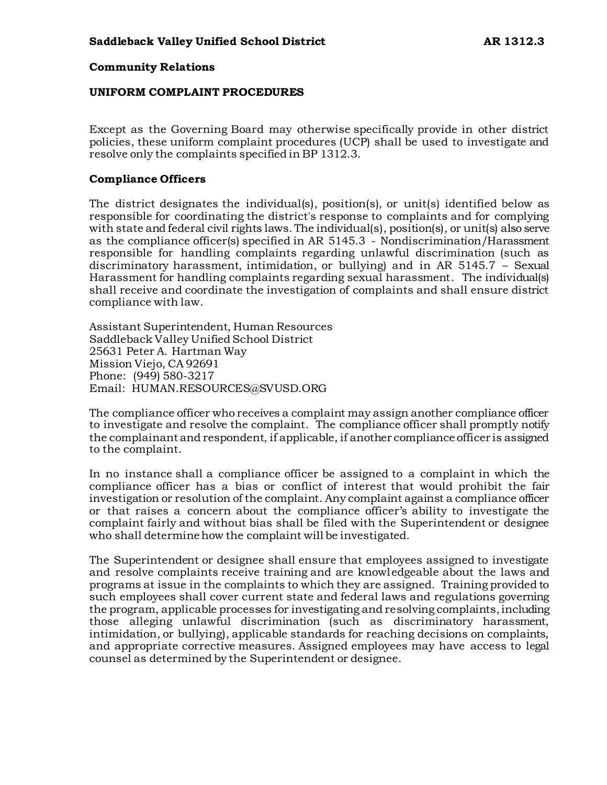#### **Community Relations**

#### **UNIFORM COMPLAINT PROCEDURES**

Except as the Governing Board may otherwise specifically provide in other district policies, these uniform complaint procedures (UCP) shall be used to investigate and resolve only the complaints specified in BP 1312.3.

#### **Compliance Officers**

The district designates the individual(s), position(s), or unit(s) identified below as responsible for coordinating the district's response to complaints and for complying with state and federal civil rights laws. The individual(s), position(s), or unit(s) also serve as the compliance officer(s) specified in AR 5145.3 - Nondiscrimination/Harassment responsible for handling complaints regarding unlawful discrimination (such as discriminatory harassment, intimidation, or bullying) and in AR 5145.7 – Sexual Harassment for handling complaints regarding sexual harassment. The individual(s) shall receive and coordinate the investigation of complaints and shall ensure district compliance with law.

Assistant Superintendent, Human Resources Saddleback Valley Unified School District 25631 Peter A. Hartman Way Mission Viejo, CA 92691 Phone: (949) 580-3217 Email: HUMAN.RESOURCES@SVUSD.ORG

The compliance officer who receives a complaint may assign another compliance officer to investigate and resolve the complaint. The compliance officer shall promptly notify the complainant and respondent, if applicable, if another compliance officer is assigned to the complaint.

In no instance shall a compliance officer be assigned to a complaint in which the compliance officer has a bias or conflict of interest that would prohibit the fair investigation or resolution of the complaint. Any complaint against a compliance officer or that raises a concern about the compliance officer's ability to investigate the complaint fairly and without bias shall be filed with the Superintendent or designee who shall determine how the complaint will be investigated.

The Superintendent or designee shall ensure that employees assigned to investigate and resolve complaints receive training and are knowledgeable about the laws and programs at issue in the complaints to which they are assigned. Training provided to such employees shall cover current state and federal laws and regulations governing the program, applicable processes for investigating and resolving complaints, including those alleging unlawful discrimination (such as discriminatory harassment, intimidation, or bullying), applicable standards for reaching decisions on complaints, and appropriate corrective measures. Assigned employees may have access to legal counsel as determined by the Superintendent or designee.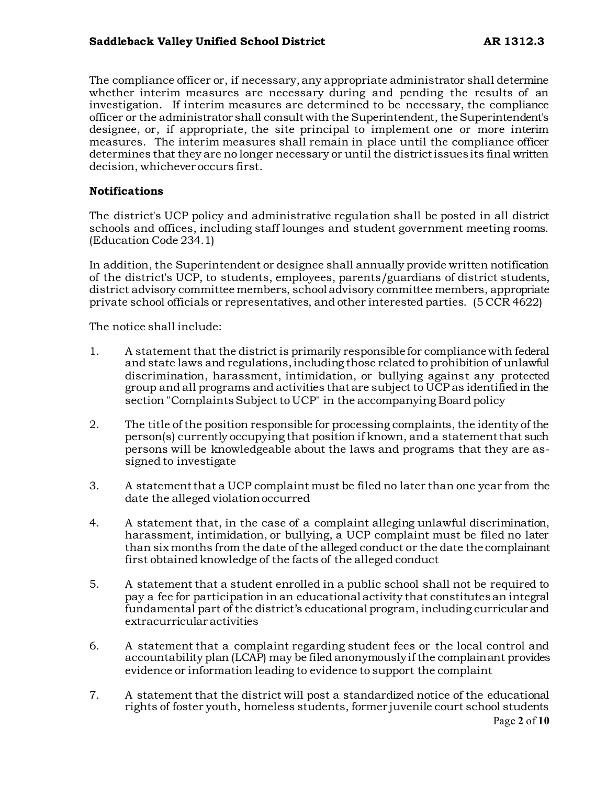# **Saddleback Valley Unified School District AR 1312.3**

The compliance officer or, if necessary, any appropriate administrator shall determine whether interim measures are necessary during and pending the results of an investigation. If interim measures are determined to be necessary, the compliance officer or the administrator shall consult with the Superintendent, the Superintendent's designee, or, if appropriate, the site principal to implement one or more interim measures. The interim measures shall remain in place until the compliance officer determines that they are no longer necessary or until the district issues its final written decision, whichever occurs first.

#### **Notifications**

The district's UCP policy and administrative regulation shall be posted in all district schools and offices, including staff lounges and student government meeting rooms. (Education Code 234.1)

In addition, the Superintendent or designee shall annually provide written notification of the district's UCP, to students, employees, parents/guardians of district students, district advisory committee members, school advisory committee members, appropriate private school officials or representatives, and other interested parties. (5 CCR 4622)

The notice shall include:

- 1. A statement that the district is primarily responsible for compliance with federal and state laws and regulations, including those related to prohibition of unlawful discrimination, harassment, intimidation, or bullying against any protected group and all programs and activities that are subject to UCP as identified in the section "Complaints Subject to UCP" in the accompanying Board policy
- 2. The title of the position responsible for processing complaints, the identity of the person(s) currently occupying that position if known, and a statement that such persons will be knowledgeable about the laws and programs that they are assigned to investigate
- 3. A statement that a UCP complaint must be filed no later than one year from the date the alleged violation occurred
- 4. A statement that, in the case of a complaint alleging unlawful discrimination, harassment, intimidation, or bullying, a UCP complaint must be filed no later than six months from the date of the alleged conduct or the date the complainant first obtained knowledge of the facts of the alleged conduct
- 5. A statement that a student enrolled in a public school shall not be required to pay a fee for participation in an educational activity that constitutes an integral fundamental part of the district's educational program, including curricular and extracurricular activities
- 6. A statement that a complaint regarding student fees or the local control and accountability plan (LCAP) may be filed anonymously if the complainant provides evidence or information leading to evidence to support the complaint
- Page **2** of **10** 7. A statement that the district will post a standardized notice of the educational rights of foster youth, homeless students, former juvenile court school students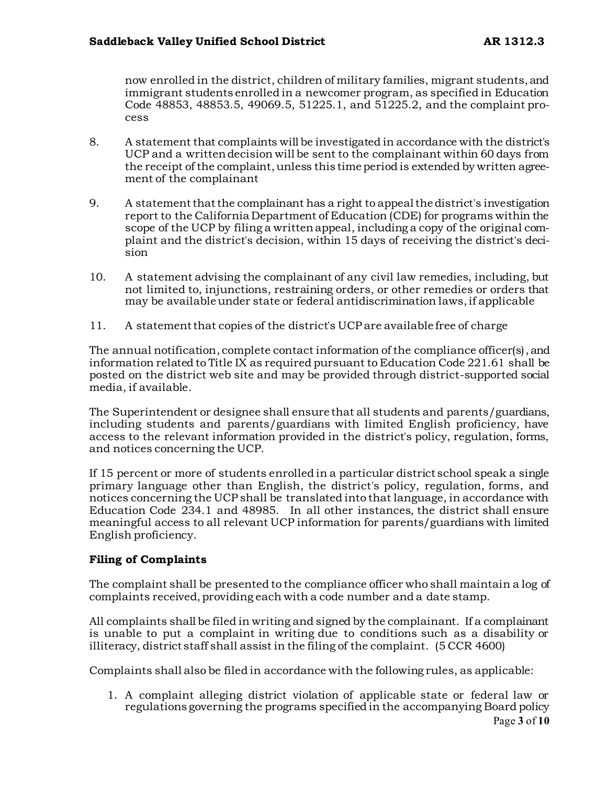now enrolled in the district, children of military families, migrant students, and immigrant students enrolled in a newcomer program, as specified in Education Code 48853, 48853.5, 49069.5, 51225.1, and 51225.2, and the complaint process

- 8. A statement that complaints will be investigated in accordance with the district's UCP and a written decision will be sent to the complainant within 60 days from the receipt of the complaint, unless this time period is extended by written agreement of the complainant
- 9. A statement that the complainant has a right to appeal the district's investigation report to the California Department of Education (CDE) for programs within the scope of the UCP by filing a written appeal, including a copy of the original complaint and the district's decision, within 15 days of receiving the district's decision
- 10. A statement advising the complainant of any civil law remedies, including, but not limited to, injunctions, restraining orders, or other remedies or orders that may be available under state or federal antidiscrimination laws, if applicable
- 11. A statement that copies of the district's UCP are available free of charge

The annual notification, complete contact information of the compliance officer(s), and information related to Title IX as required pursuant to Education Code 221.61 shall be posted on the district web site and may be provided through district-supported social media, if available.

The Superintendent or designee shall ensure that all students and parents/guardians, including students and parents/guardians with limited English proficiency, have access to the relevant information provided in the district's policy, regulation, forms, and notices concerning the UCP.

If 15 percent or more of students enrolled in a particular district school speak a single primary language other than English, the district's policy, regulation, forms, and notices concerning the UCP shall be translated into that language, in accordance with Education Code 234.1 and 48985. In all other instances, the district shall ensure meaningful access to all relevant UCP information for parents/guardians with limited English proficiency.

# **Filing of Complaints**

The complaint shall be presented to the compliance officer who shall maintain a log of complaints received, providing each with a code number and a date stamp.

All complaints shall be filed in writing and signed by the complainant. If a complainant is unable to put a complaint in writing due to conditions such as a disability or illiteracy, district staff shall assist in the filing of the complaint. (5 CCR 4600)

Complaints shall also be filed in accordance with the following rules, as applicable:

Page **3** of **10** 1. A complaint alleging district violation of applicable state or federal law or regulations governing the programs specified in the accompanying Board policy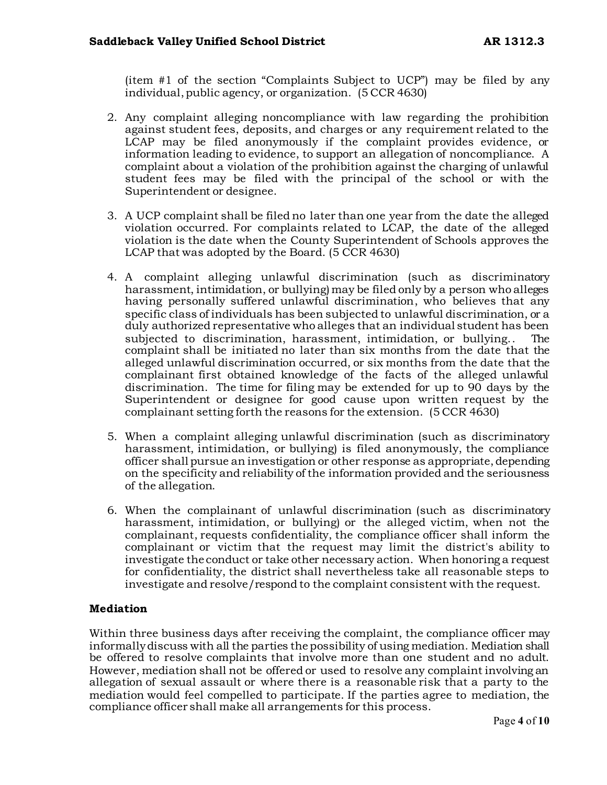(item #1 of the section "Complaints Subject to UCP") may be filed by any individual, public agency, or organization. (5 CCR 4630)

- 2. Any complaint alleging noncompliance with law regarding the prohibition against student fees, deposits, and charges or any requirement related to the LCAP may be filed anonymously if the complaint provides evidence, or information leading to evidence, to support an allegation of noncompliance. A complaint about a violation of the prohibition against the charging of unlawful student fees may be filed with the principal of the school or with the Superintendent or designee.
- 3. A UCP complaint shall be filed no later than one year from the date the alleged violation occurred. For complaints related to LCAP, the date of the alleged violation is the date when the County Superintendent of Schools approves the LCAP that was adopted by the Board. (5 CCR 4630)
- 4. A complaint alleging unlawful discrimination (such as discriminatory harassment, intimidation, or bullying) may be filed only by a person who alleges having personally suffered unlawful discrimination, who believes that any specific class of individuals has been subjected to unlawful discrimination, or a duly authorized representative who alleges that an individual student has been subjected to discrimination, harassment, intimidation, or bullying.. The complaint shall be initiated no later than six months from the date that the alleged unlawful discrimination occurred, or six months from the date that the complainant first obtained knowledge of the facts of the alleged unlawful discrimination. The time for filing may be extended for up to 90 days by the Superintendent or designee for good cause upon written request by the complainant setting forth the reasons for the extension. (5 CCR 4630)
- 5. When a complaint alleging unlawful discrimination (such as discriminatory harassment, intimidation, or bullying) is filed anonymously, the compliance officer shall pursue an investigation or other response as appropriate, depending on the specificity and reliability of the information provided and the seriousness of the allegation.
- 6. When the complainant of unlawful discrimination (such as discriminatory harassment, intimidation, or bullying) or the alleged victim, when not the complainant, requests confidentiality, the compliance officer shall inform the complainant or victim that the request may limit the district's ability to investigate the conduct or take other necessary action. When honoring a request for confidentiality, the district shall nevertheless take all reasonable steps to investigate and resolve/respond to the complaint consistent with the request.

# **Mediation**

Within three business days after receiving the complaint, the compliance officer may informally discuss with all the parties the possibility of using mediation. Mediation shall be offered to resolve complaints that involve more than one student and no adult. However, mediation shall not be offered or used to resolve any complaint involving an allegation of sexual assault or where there is a reasonable risk that a party to the mediation would feel compelled to participate. If the parties agree to mediation, the compliance officer shall make all arrangements for this process.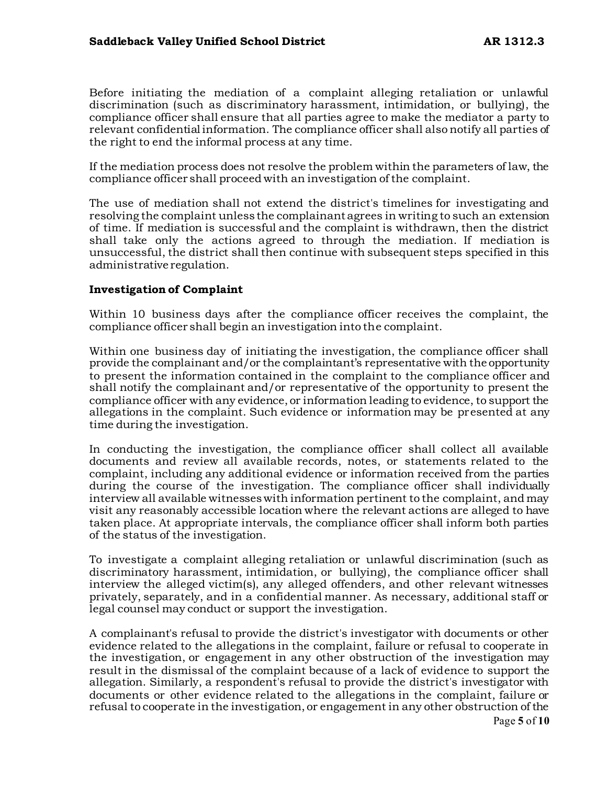Before initiating the mediation of a complaint alleging retaliation or unlawful discrimination (such as discriminatory harassment, intimidation, or bullying), the compliance officer shall ensure that all parties agree to make the mediator a party to relevant confidential information. The compliance officer shall also notify all parties of the right to end the informal process at any time.

If the mediation process does not resolve the problem within the parameters of law, the compliance officer shall proceed with an investigation of the complaint.

The use of mediation shall not extend the district's timelines for investigating and resolving the complaint unless the complainant agrees in writing to such an extension of time. If mediation is successful and the complaint is withdrawn, then the district shall take only the actions agreed to through the mediation. If mediation is unsuccessful, the district shall then continue with subsequent steps specified in this administrative regulation.

# **Investigation of Complaint**

Within 10 business days after the compliance officer receives the complaint, the compliance officer shall begin an investigation into the complaint.

Within one business day of initiating the investigation, the compliance officer shall provide the complainant and/or the complaintant's representative with the opportunity to present the information contained in the complaint to the compliance officer and shall notify the complainant and/or representative of the opportunity to present the compliance officer with any evidence, or information leading to evidence, to support the allegations in the complaint. Such evidence or information may be presented at any time during the investigation.

In conducting the investigation, the compliance officer shall collect all available documents and review all available records, notes, or statements related to the complaint, including any additional evidence or information received from the parties during the course of the investigation. The compliance officer shall individually interview all available witnesses with information pertinent to the complaint, and may visit any reasonably accessible location where the relevant actions are alleged to have taken place. At appropriate intervals, the compliance officer shall inform both parties of the status of the investigation.

To investigate a complaint alleging retaliation or unlawful discrimination (such as discriminatory harassment, intimidation, or bullying), the compliance officer shall interview the alleged victim(s), any alleged offenders, and other relevant witnesses privately, separately, and in a confidential manner. As necessary, additional staff or legal counsel may conduct or support the investigation.

A complainant's refusal to provide the district's investigator with documents or other evidence related to the allegations in the complaint, failure or refusal to cooperate in the investigation, or engagement in any other obstruction of the investigation may result in the dismissal of the complaint because of a lack of evidence to support the allegation. Similarly, a respondent's refusal to provide the district's investigator with documents or other evidence related to the allegations in the complaint, failure or refusal to cooperate in the investigation, or engagement in any other obstruction of the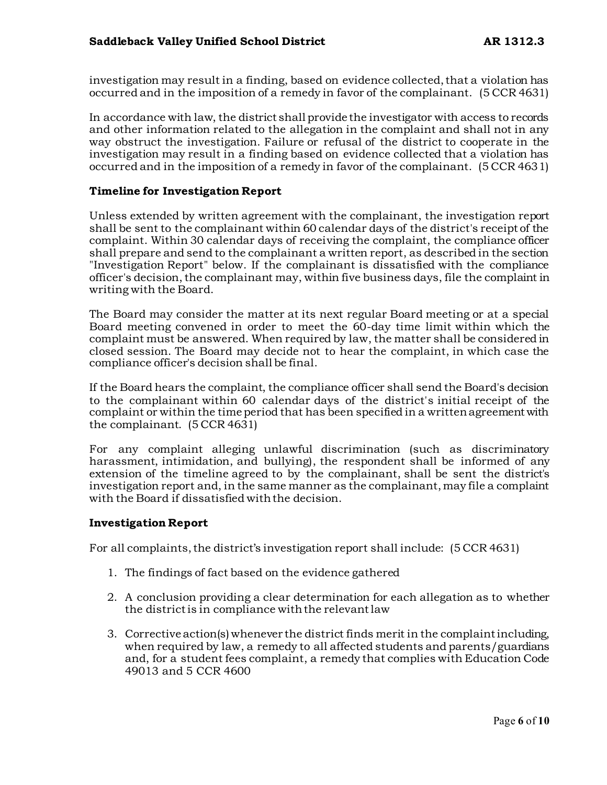investigation may result in a finding, based on evidence collected, that a violation has occurred and in the imposition of a remedy in favor of the complainant. (5 CCR 4631)

In accordance with law, the district shall provide the investigator with access to records and other information related to the allegation in the complaint and shall not in any way obstruct the investigation. Failure or refusal of the district to cooperate in the investigation may result in a finding based on evidence collected that a violation has occurred and in the imposition of a remedy in favor of the complainant. (5 CCR 4631)

# **Timeline for Investigation Report**

Unless extended by written agreement with the complainant, the investigation report shall be sent to the complainant within 60 calendar days of the district's receipt of the complaint. Within 30 calendar days of receiving the complaint, the compliance officer shall prepare and send to the complainant a written report, as described in the section "Investigation Report" below. If the complainant is dissatisfied with the compliance officer's decision, the complainant may, within five business days, file the complaint in writing with the Board.

The Board may consider the matter at its next regular Board meeting or at a special Board meeting convened in order to meet the 60-day time limit within which the complaint must be answered. When required by law, the matter shall be considered in closed session. The Board may decide not to hear the complaint, in which case the compliance officer's decision shall be final.

If the Board hears the complaint, the compliance officer shall send the Board's decision to the complainant within 60 calendar days of the district's initial receipt of the complaint or within the time period that has been specified in a written agreement with the complainant. (5 CCR 4631)

For any complaint alleging unlawful discrimination (such as discriminatory harassment, intimidation, and bullying), the respondent shall be informed of any extension of the timeline agreed to by the complainant, shall be sent the district's investigation report and, in the same manner as the complainant, may file a complaint with the Board if dissatisfied with the decision.

# **Investigation Report**

For all complaints, the district's investigation report shall include: (5 CCR 4631)

- 1. The findings of fact based on the evidence gathered
- 2. A conclusion providing a clear determination for each allegation as to whether the district is in compliance with the relevant law
- 3. Corrective action(s) whenever the district finds merit in the complaint including, when required by law, a remedy to all affected students and parents/guardians and, for a student fees complaint, a remedy that complies with Education Code 49013 and 5 CCR 4600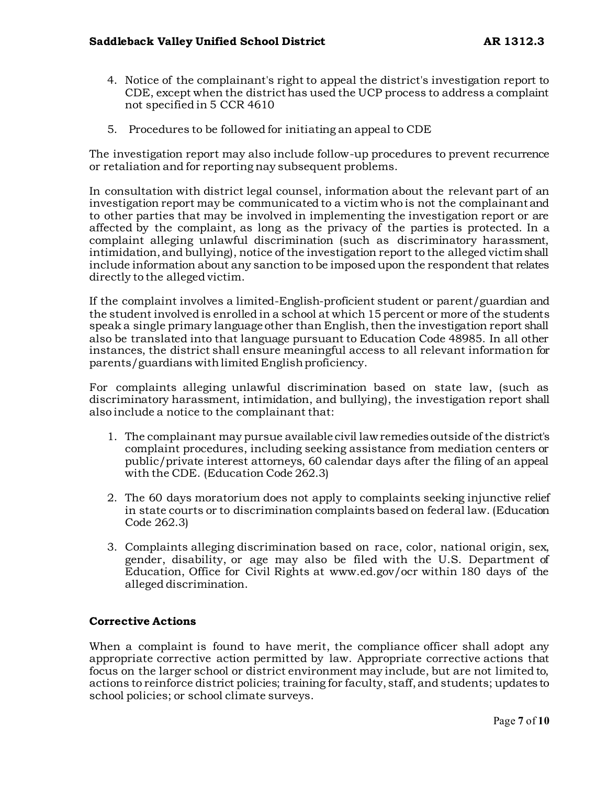- 4. Notice of the complainant's right to appeal the district's investigation report to CDE, except when the district has used the UCP process to address a complaint not specified in 5 CCR 4610
- 5. Procedures to be followed for initiating an appeal to CDE

The investigation report may also include follow-up procedures to prevent recurrence or retaliation and for reporting nay subsequent problems.

In consultation with district legal counsel, information about the relevant part of an investigation report may be communicated to a victim who is not the complainant and to other parties that may be involved in implementing the investigation report or are affected by the complaint, as long as the privacy of the parties is protected. In a complaint alleging unlawful discrimination (such as discriminatory harassment, intimidation, and bullying), notice of the investigation report to the alleged victim shall include information about any sanction to be imposed upon the respondent that relates directly to the alleged victim.

If the complaint involves a limited-English-proficient student or parent/guardian and the student involved is enrolled in a school at which 15 percent or more of the students speak a single primary language other than English, then the investigation report shall also be translated into that language pursuant to Education Code 48985. In all other instances, the district shall ensure meaningful access to all relevant information for parents/guardians with limited English proficiency.

For complaints alleging unlawful discrimination based on state law, (such as discriminatory harassment, intimidation, and bullying), the investigation report shall also include a notice to the complainant that:

- 1. The complainant may pursue available civil law remedies outside of the district's complaint procedures, including seeking assistance from mediation centers or public/private interest attorneys, 60 calendar days after the filing of an appeal with the CDE. (Education Code 262.3)
- 2. The 60 days moratorium does not apply to complaints seeking injunctive relief in state courts or to discrimination complaints based on federal law. (Education Code 262.3)
- 3. Complaints alleging discrimination based on race, color, national origin, sex, gender, disability, or age may also be filed with the U.S. Department of Education, Office for Civil Rights at www.ed.gov/ocr within 180 days of the alleged discrimination.

# **Corrective Actions**

When a complaint is found to have merit, the compliance officer shall adopt any appropriate corrective action permitted by law. Appropriate corrective actions that focus on the larger school or district environment may include, but are not limited to, actions to reinforce district policies; training for faculty, staff, and students; updates to school policies; or school climate surveys.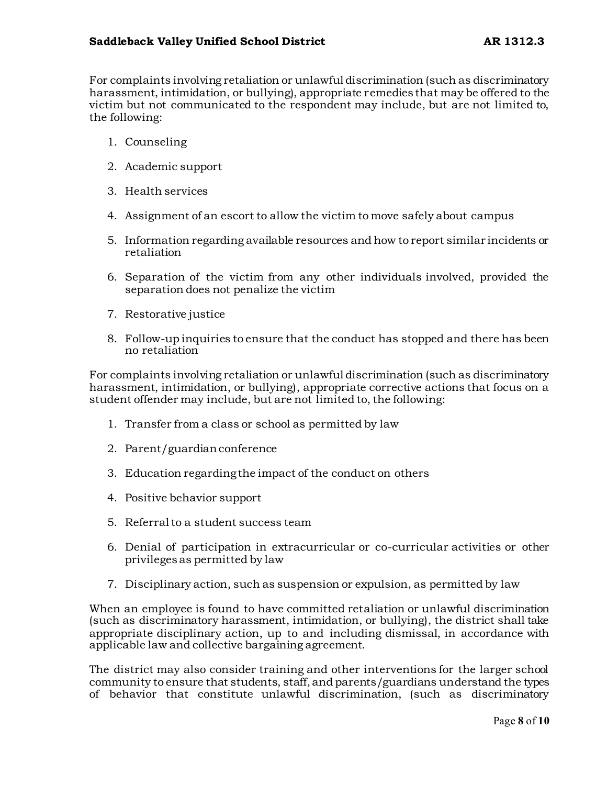For complaints involving retaliation or unlawful discrimination (such as discriminatory harassment, intimidation, or bullying), appropriate remedies that may be offered to the victim but not communicated to the respondent may include, but are not limited to, the following:

- 1. Counseling
- 2. Academic support
- 3. Health services
- 4. Assignment of an escort to allow the victim to move safely about campus
- 5. Information regarding available resources and how to report similar incidents or retaliation
- 6. Separation of the victim from any other individuals involved, provided the separation does not penalize the victim
- 7. Restorative justice
- 8. Follow-up inquiries to ensure that the conduct has stopped and there has been no retaliation

For complaints involving retaliation or unlawful discrimination (such as discriminatory harassment, intimidation, or bullying), appropriate corrective actions that focus on a student offender may include, but are not limited to, the following:

- 1. Transfer from a class or school as permitted by law
- 2. Parent/guardian conference
- 3. Education regarding the impact of the conduct on others
- 4. Positive behavior support
- 5. Referral to a student success team
- 6. Denial of participation in extracurricular or co-curricular activities or other privileges as permitted by law
- 7. Disciplinary action, such as suspension or expulsion, as permitted by law

When an employee is found to have committed retaliation or unlawful discrimination (such as discriminatory harassment, intimidation, or bullying), the district shall take appropriate disciplinary action, up to and including dismissal, in accordance with applicable law and collective bargaining agreement.

The district may also consider training and other interventions for the larger school community to ensure that students, staff, and parents/guardians understand the types of behavior that constitute unlawful discrimination, (such as discriminatory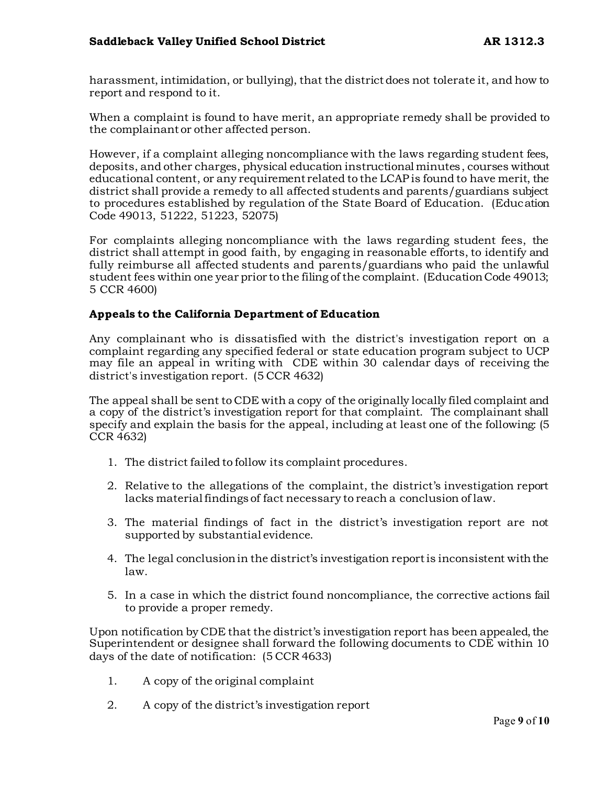harassment, intimidation, or bullying), that the district does not tolerate it, and how to report and respond to it.

When a complaint is found to have merit, an appropriate remedy shall be provided to the complainant or other affected person.

However, if a complaint alleging noncompliance with the laws regarding student fees, deposits, and other charges, physical education instructional minutes, courses without educational content, or any requirement related to the LCAP is found to have merit, the district shall provide a remedy to all affected students and parents/guardians subject to procedures established by regulation of the State Board of Education. (Education Code 49013, 51222, 51223, 52075)

For complaints alleging noncompliance with the laws regarding student fees, the district shall attempt in good faith, by engaging in reasonable efforts, to identify and fully reimburse all affected students and parents/guardians who paid the unlawful student fees within one year prior to the filing of the complaint. (Education Code 49013; 5 CCR 4600)

#### **Appeals to the California Department of Education**

Any complainant who is dissatisfied with the district's investigation report on a complaint regarding any specified federal or state education program subject to UCP may file an appeal in writing with CDE within 30 calendar days of receiving the district's investigation report. (5 CCR 4632)

The appeal shall be sent to CDE with a copy of the originally locally filed complaint and a copy of the district's investigation report for that complaint. The complainant shall specify and explain the basis for the appeal, including at least one of the following: (5 CCR 4632)

- 1. The district failed to follow its complaint procedures.
- 2. Relative to the allegations of the complaint, the district's investigation report lacks material findings of fact necessary to reach a conclusion of law.
- 3. The material findings of fact in the district's investigation report are not supported by substantial evidence.
- 4. The legal conclusion in the district's investigation report is inconsistent with the law.
- 5. In a case in which the district found noncompliance, the corrective actions fail to provide a proper remedy.

Upon notification by CDE that the district's investigation report has been appealed, the Superintendent or designee shall forward the following documents to CDE within 10 days of the date of notification: (5 CCR 4633)

- 1. A copy of the original complaint
- 2. A copy of the district's investigation report